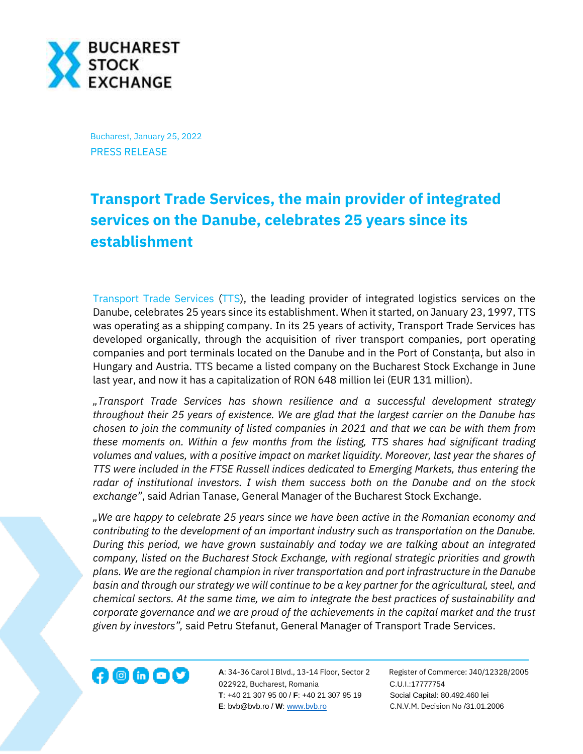

Bucharest, January 25, 2022 PRESS RELEASE

## **Transport Trade Services, the main provider of integrated services on the Danube, celebrates 25 years since its establishment**

[Transport Trade Services](https://www.tts-group.ro/) [\(TTS\)](https://bvb.ro/FinancialInstruments/Details/FinancialInstrumentsDetails.aspx?s=TTS), the leading provider of integrated logistics services on the Danube, celebrates 25 years since its establishment. When it started, on January 23, 1997, TTS was operating as a shipping company. In its 25 years of activity, Transport Trade Services has developed organically, through the acquisition of river transport companies, port operating companies and port terminals located on the Danube and in the Port of Constanța, but also in Hungary and Austria. TTS became a listed company on the Bucharest Stock Exchange in June last year, and now it has a capitalization of RON 648 million lei (EUR 131 million).

*"Transport Trade Services has shown resilience and a successful development strategy throughout their 25 years of existence. We are glad that the largest carrier on the Danube has chosen to join the community of listed companies in 2021 and that we can be with them from these moments on. Within a few months from the listing, TTS shares had significant trading volumes and values, with a positive impact on market liquidity. Moreover, last year the shares of TTS were included in the FTSE Russell indices dedicated to Emerging Markets, thus entering the radar of institutional investors. I wish them success both on the Danube and on the stock exchange"*, said Adrian Tanase, General Manager of the Bucharest Stock Exchange.

*"We are happy to celebrate 25 years since we have been active in the Romanian economy and contributing to the development of an important industry such as transportation on the Danube. During this period, we have grown sustainably and today we are talking about an integrated company, listed on the Bucharest Stock Exchange, with regional strategic priorities and growth plans. We are the regional champion in river transportation and port infrastructure in the Danube basin and through our strategy we will continue to be a key partner for the agricultural, steel, and chemical sectors. At the same time, we aim to integrate the best practices of sustainability and corporate governance and we are proud of the achievements in the capital market and the trust given by investors",* said Petru Stefanut, General Manager of Transport Trade Services.



**A**: 34-36 Carol I Blvd., 13-14 Floor, Sector 2 Register of Commerce: J40/12328/2005 **122922, Bucharest, Romania C.U.I.:17777754**<br>022922, Bucharest, Romania C.U.I.:17777754  **T**: +40 21 307 95 00 / **F**: +40 21 307 95 19 Social Capital: 80.492.460 lei **E**: bvb@bvb.ro / **W**[: www.bvb.ro](http://www.bvb.ro/) C.N.V.M. Decision No /31.01.2006